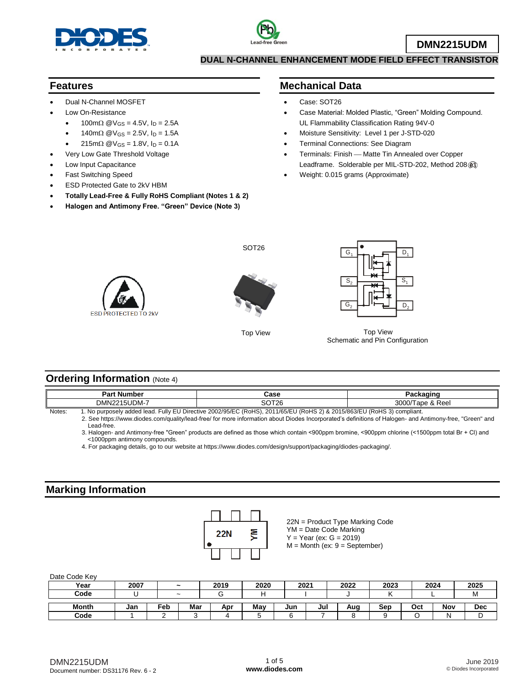



#### **DUAL N-CHANNEL ENHANCEMENT MODE FIELD EFFECT TRANSISTOR**

#### **Features**

- Dual N-Channel MOSFET
- Low On-Resistance
	- $100 \text{m}\Omega \text{ @V_{GS} = 4.5V, I_D = 2.5A}$
	- $140 \text{m}\Omega \text{ @V_{GS} = 2.5V, I_D = 1.5A}$
	- $215 \text{m}\Omega \text{ @V_{GS} = 1.8}$ V,  $I_D = 0.1$ A
	- Very Low Gate Threshold Voltage
- Low Input Capacitance
- Fast Switching Speed
- ESD Protected Gate to 2kV HBM
- **Totally Lead-Free & Fully RoHS Compliant (Notes 1 & 2)**
- **Halogen and Antimony Free. "Green" Device (Note 3)**

#### **Mechanical Data**

- Case: SOT26
- Case Material: Molded Plastic, "Green" Molding Compound. UL Flammability Classification Rating 94V-0
- Moisture Sensitivity: Level 1 per J-STD-020
- Terminal Connections: See Diagram
- Terminals: Finish Matte Tin Annealed over Copper Leadframe. Solderable per MIL-STD-202, Method 208@3)
- Weight: 0.015 grams (Approximate)





SOT<sub>26</sub>

Top View



Schematic and Pin Configuration Top View

## **Ordering Information** (Note 4)

| הם<br>. Number<br>$\sim$  | Case                               | <b>ONING</b>                             |
|---------------------------|------------------------------------|------------------------------------------|
| DMN22<br>15UDM-           | $\sim$ $\sim$ $\sim$<br>126<br>، ب | 3000/<br>Ree<br>$\Omega$<br>ape<br>ี∹ α∗ |
| _______________<br>.<br>. |                                    | $\sim$ $\sim$                            |

Notes: 1. No purposely added lead. Fully EU Directive 2002/95/EC (RoHS), 2011/65/EU (RoHS 2) & 2015/863/EU (RoHS 3) compliant. 2. See [https://www.diodes.com/quality/lead-free/ fo](https://www.diodes.com/quality/lead-free/)r more information about Diodes Incorporated's definitions of Halogen- and Antimony-free, "Green" and Lead-free.

 3. Halogen- and Antimony-free "Green" products are defined as those which contain <900ppm bromine, <900ppm chlorine (<1500ppm total Br + Cl) and <1000ppm antimony compounds.

4. For packaging details, go to our website at [https://www.diodes.com/design/support/packaging/diodes-packaging/.](https://www.diodes.com/design/support/packaging/diodes-packaging/)

### **Marking Information**



22N = Product Type Marking Code YM = Date Code Marking  $Y = Year (ex: G = 2019)$ M = Month (ex: 9 = September)

Date Code Key

| Year  | 2007 | $\tilde{\phantom{a}}$ |     | 2019 | 2020 | 2021 |     | 2022 | 2023 | 2024 |     | 2025       |
|-------|------|-----------------------|-----|------|------|------|-----|------|------|------|-----|------------|
| Code  |      | $\tilde{\phantom{a}}$ |     |      |      |      |     |      |      |      |     | M          |
| Month | Jan  | Feb∶                  | Mar | Apr  | Mav  | Jun  | Jul | Aug  | Sep  | Oct  | Nov | <b>Dec</b> |
| Code  |      |                       |     |      |      | -    |     |      |      |      | N   | ◡          |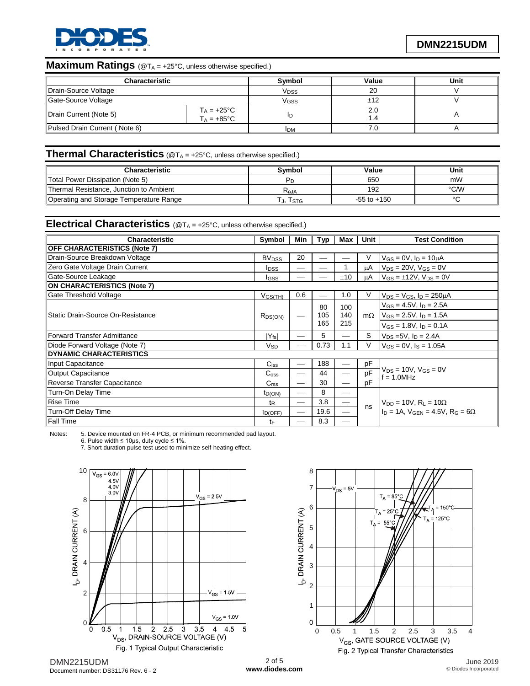

# **Maximum Ratings** (@T<sub>A = +25°C, unless otherwise specified.)</sub>

| Characteristic                | Symbol                                 | Value      | Unit      |  |
|-------------------------------|----------------------------------------|------------|-----------|--|
| Drain-Source Voltage          | V <sub>DSS</sub>                       | 20         |           |  |
| Gate-Source Voltage           | Vgss                                   | ±12        |           |  |
| Drain Current (Note 5)        | $T_A = +25$ °C<br>$T_A = +85^{\circ}C$ | םו         | 2.0<br>.4 |  |
| Pulsed Drain Current (Note 6) |                                        | <b>IDM</b> |           |  |

#### **Thermal Characteristics** (@T<sub>A</sub> = +25°C, unless otherwise specified.)

| <b>Characteristic</b>                   | Svmbol    | Value           | Unit   |
|-----------------------------------------|-----------|-----------------|--------|
| Total Power Dissipation (Note 5)        |           | 650             | mW     |
| Thermal Resistance, Junction to Ambient | $R_{AJA}$ | 192             | °C∕W   |
| Operating and Storage Temperature Range | J, ISTG   | $-55$ to $+150$ | $\sim$ |

### **Electrical Characteristics** (@T<sup>A</sup> = +25°C, unless otherwise specified.)

| <b>Characteristic</b>               | Symbol                  | Min | <b>Typ</b>       | Max               | Unit      | <b>Test Condition</b>                                      |  |  |
|-------------------------------------|-------------------------|-----|------------------|-------------------|-----------|------------------------------------------------------------|--|--|
| <b>OFF CHARACTERISTICS (Note 7)</b> |                         |     |                  |                   |           |                                                            |  |  |
| Drain-Source Breakdown Voltage      | <b>BV<sub>DSS</sub></b> | 20  |                  |                   | V         | $V_{GS} = 0V$ , $I_D = 10 \mu A$                           |  |  |
| Zero Gate Voltage Drain Current     | <b>I</b> <sub>DSS</sub> | --  |                  |                   | μA        | $V_{DS}$ = 20V, $V_{GS}$ = 0V                              |  |  |
| Gate-Source Leakage                 | Igss                    |     |                  | ±10               | μA        | $V_{GS} = \pm 12V$ , $V_{DS} = 0V$                         |  |  |
| <b>ON CHARACTERISTICS (Note 7)</b>  |                         |     |                  |                   |           |                                                            |  |  |
| Gate Threshold Voltage              | $V_{GS(TH)}$            | 0.6 |                  | 1.0               | V         | $V_{DS} = V_{GS}$ , $I_D = 250 \mu A$                      |  |  |
|                                     | $R_{DS(ON)}$            |     | 80<br>105<br>165 | 100<br>140<br>215 |           | $V_{GS} = 4.5V$ , $I_D = 2.5A$                             |  |  |
| Static Drain-Source On-Resistance   |                         |     |                  |                   |           | m $\Omega$   V <sub>GS</sub> = 2.5V, I <sub>D</sub> = 1.5A |  |  |
|                                     |                         |     |                  |                   |           | $V_{GS} = 1.8V$ , $I_D = 0.1A$                             |  |  |
| Forward Transfer Admittance         | $ Y_{fs} $              |     | 5                |                   | S         | $V_{DS} = 5V$ , $I_D = 2.4A$                               |  |  |
| Diode Forward Voltage (Note 7)      | <b>V<sub>SD</sub></b>   |     | 0.73             | 1.1               | V         | $V_{GS} = 0V$ , $I_S = 1.05A$                              |  |  |
| DYNAMIC CHARACTERISTICS             |                         |     |                  |                   |           |                                                            |  |  |
| Input Capacitance                   | $C$ <sub>iss</sub>      |     | 188              |                   | pF        |                                                            |  |  |
| Output Capacitance                  | C <sub>oss</sub>        |     | 44               |                   | <b>DF</b> | $V_{DS} = 10V$ , $V_{GS} = 0V$<br>$= 1.0$ MHz              |  |  |
| Reverse Transfer Capacitance        | C <sub>rss</sub>        |     | 30               |                   | pΕ        |                                                            |  |  |
| Turn-On Delay Time                  | $t_{D(ON)}$             |     | 8                |                   |           |                                                            |  |  |
| <b>Rise Time</b>                    | t <sub>R</sub>          |     | 3.8              |                   | ns        | $V_{DD} = 10V$ , $R_L = 10\Omega$                          |  |  |
| Turn-Off Delay Time                 | tp(OFF)                 |     | 19.6             |                   |           | In = 1A. VGEN = 4.5V, $R_G = 6\Omega$                      |  |  |
| <b>Fall Time</b>                    | tF                      |     | 8.3              |                   |           |                                                            |  |  |

Notes: 5. Device mounted on FR-4 PCB, or minimum recommended pad layout.

6. Pulse width  $\leq 10$ μs, duty cycle  $\leq 1\%$ .

7. Short duration pulse test used to minimize self-heating effect.



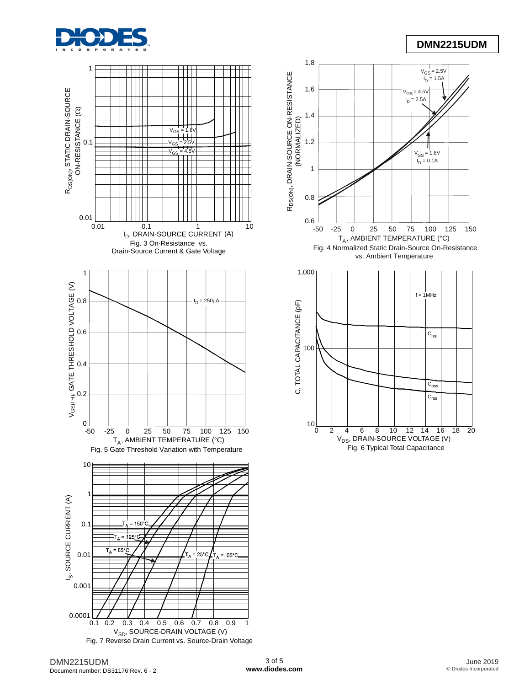

# **DMN2215UDM**





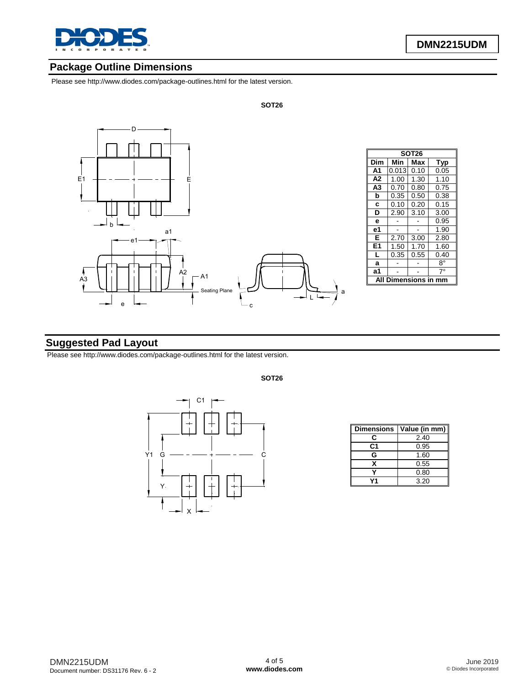

### **Package Outline Dimensions**

Please see<http://www.diodes.com/package-outlines.html> for the latest version.



#### **Suggested Pad Layout**

Please see<http://www.diodes.com/package-outlines.html> for the latest version.



**Dimensions Value (in mm)**  $\overline{C}$  2.40 **C1** 0.95 **G** 1.60 **X** 0.55<br>**Y** 0.80 **Y** 0.80<br>**Y1** 3.20 **Y1** 3.20

**SOT26**